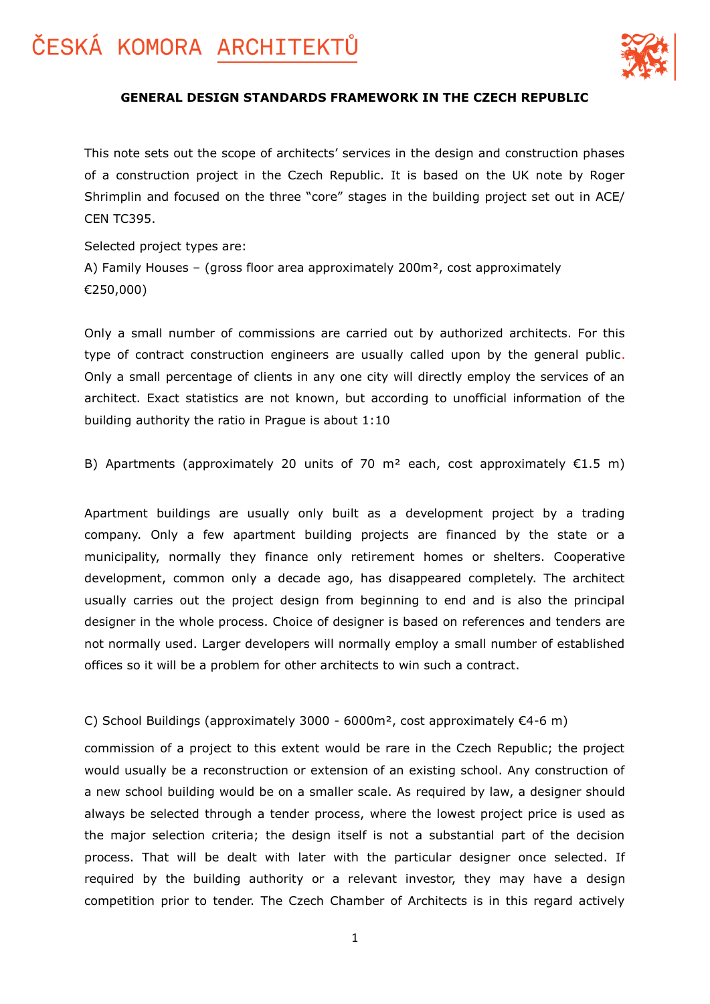

### **GENERAL DESIGN STANDARDS FRAMEWORK IN THE CZECH REPUBLIC**

This note sets out the scope of architects' services in the design and construction phases of a construction project in the Czech Republic. It is based on the UK note by Roger Shrimplin and focused on the three "core" stages in the building project set out in ACE/ CEN TC395.

Selected project types are: A) Family Houses – (gross floor area approximately 200m², cost approximately €250,000)

Only a small number of commissions are carried out by authorized architects. For this type of contract construction engineers are usually called upon by the general public. Only a small percentage of clients in any one city will directly employ the services of an architect. Exact statistics are not known, but according to unofficial information of the building authority the ratio in Prague is about 1:10

B) Apartments (approximately 20 units of 70 m<sup>2</sup> each, cost approximately  $\epsilon$ 1.5 m)

Apartment buildings are usually only built as a development project by a trading company. Only a few apartment building projects are financed by the state or a municipality, normally they finance only retirement homes or shelters. Cooperative development, common only a decade ago, has disappeared completely. The architect usually carries out the project design from beginning to end and is also the principal designer in the whole process. Choice of designer is based on references and tenders are not normally used. Larger developers will normally employ a small number of established offices so it will be a problem for other architects to win such a contract.

### C) School Buildings (approximately 3000 - 6000m², cost approximately €4-6 m)

commission of a project to this extent would be rare in the Czech Republic; the project would usually be a reconstruction or extension of an existing school. Any construction of a new school building would be on a smaller scale. As required by law, a designer should always be selected through a tender process, where the lowest project price is used as the major selection criteria; the design itself is not a substantial part of the decision process. That will be dealt with later with the particular designer once selected. If required by the building authority or a relevant investor, they may have a design competition prior to tender. The Czech Chamber of Architects is in this regard actively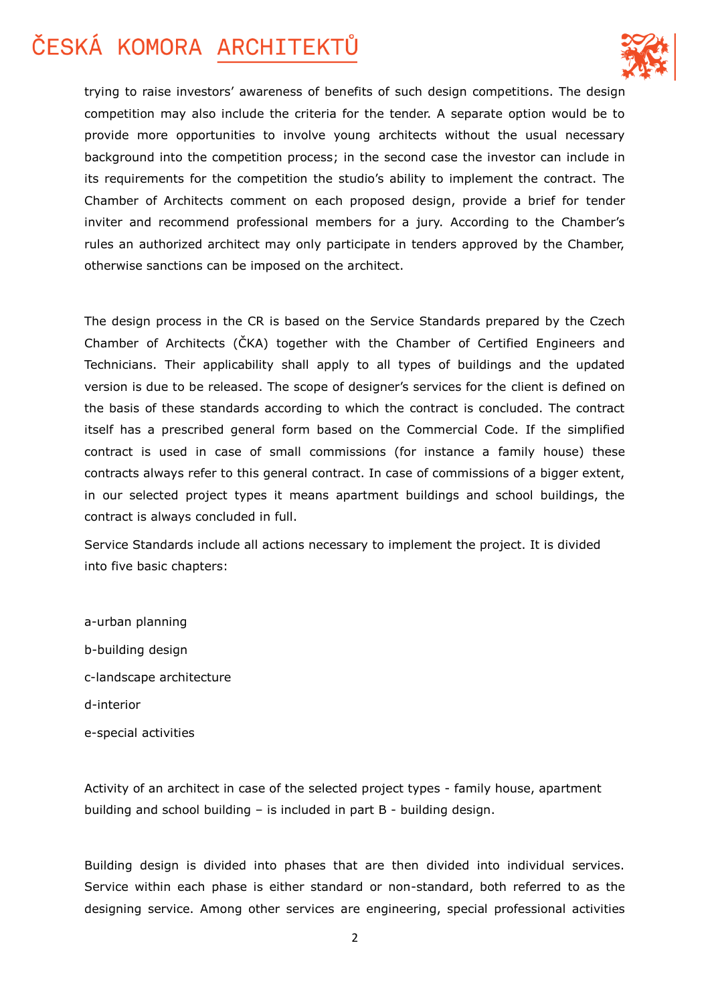

trying to raise investors' awareness of benefits of such design competitions. The design competition may also include the criteria for the tender. A separate option would be to provide more opportunities to involve young architects without the usual necessary background into the competition process; in the second case the investor can include in its requirements for the competition the studio's ability to implement the contract. The Chamber of Architects comment on each proposed design, provide a brief for tender inviter and recommend professional members for a jury. According to the Chamber's rules an authorized architect may only participate in tenders approved by the Chamber, otherwise sanctions can be imposed on the architect.

The design process in the CR is based on the Service Standards prepared by the Czech Chamber of Architects (ČKA) together with the Chamber of Certified Engineers and Technicians. Their applicability shall apply to all types of buildings and the updated version is due to be released. The scope of designer's services for the client is defined on the basis of these standards according to which the contract is concluded. The contract itself has a prescribed general form based on the Commercial Code. If the simplified contract is used in case of small commissions (for instance a family house) these contracts always refer to this general contract. In case of commissions of a bigger extent, in our selected project types it means apartment buildings and school buildings, the contract is always concluded in full.

Service Standards include all actions necessary to implement the project. It is divided into five basic chapters:

a-urban planning b-building design c-landscape architecture d-interior e-special activities

Activity of an architect in case of the selected project types - family house, apartment building and school building – is included in part B - building design.

Building design is divided into phases that are then divided into individual services. Service within each phase is either standard or non-standard, both referred to as the designing service. Among other services are engineering, special professional activities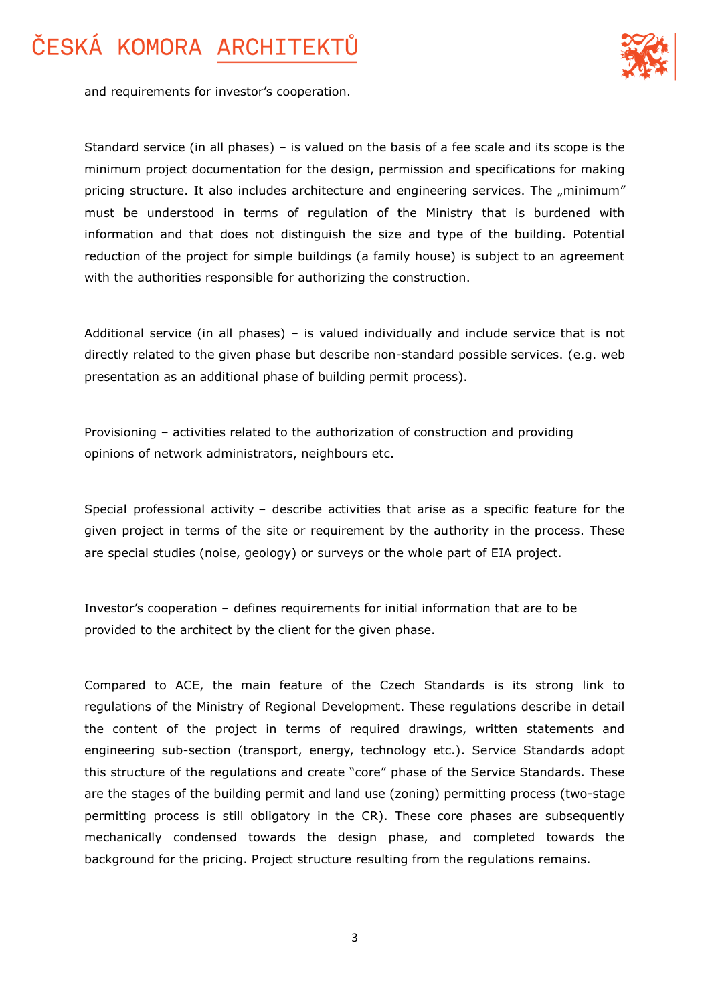

and requirements for investor's cooperation.

Standard service (in all phases) – is valued on the basis of a fee scale and its scope is the minimum project documentation for the design, permission and specifications for making pricing structure. It also includes architecture and engineering services. The "minimum" must be understood in terms of regulation of the Ministry that is burdened with information and that does not distinguish the size and type of the building. Potential reduction of the project for simple buildings (a family house) is subject to an agreement with the authorities responsible for authorizing the construction.

Additional service (in all phases) – is valued individually and include service that is not directly related to the given phase but describe non-standard possible services. (e.g. web presentation as an additional phase of building permit process).

Provisioning – activities related to the authorization of construction and providing opinions of network administrators, neighbours etc.

Special professional activity – describe activities that arise as a specific feature for the given project in terms of the site or requirement by the authority in the process. These are special studies (noise, geology) or surveys or the whole part of EIA project.

Investor's cooperation – defines requirements for initial information that are to be provided to the architect by the client for the given phase.

Compared to ACE, the main feature of the Czech Standards is its strong link to regulations of the Ministry of Regional Development. These regulations describe in detail the content of the project in terms of required drawings, written statements and engineering sub-section (transport, energy, technology etc.). Service Standards adopt this structure of the regulations and create "core" phase of the Service Standards. These are the stages of the building permit and land use (zoning) permitting process (two-stage permitting process is still obligatory in the CR). These core phases are subsequently mechanically condensed towards the design phase, and completed towards the background for the pricing. Project structure resulting from the regulations remains.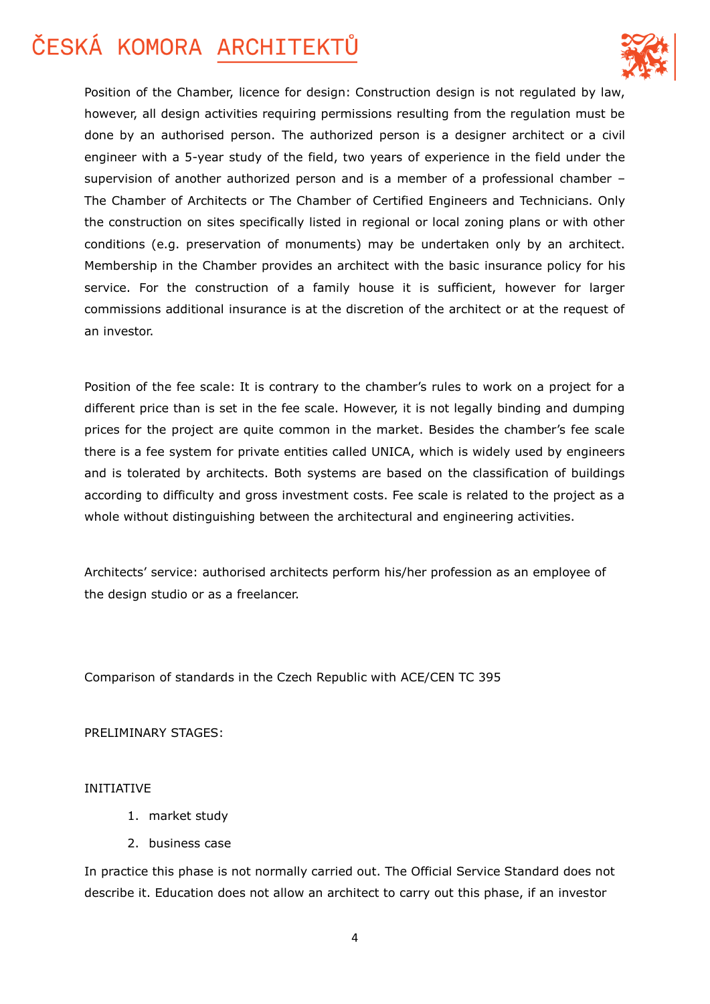

Position of the Chamber, licence for design: Construction design is not regulated by law, however, all design activities requiring permissions resulting from the regulation must be done by an authorised person. The authorized person is a designer architect or a civil engineer with a 5-year study of the field, two years of experience in the field under the supervision of another authorized person and is a member of a professional chamber – The Chamber of Architects or The Chamber of Certified Engineers and Technicians. Only the construction on sites specifically listed in regional or local zoning plans or with other conditions (e.g. preservation of monuments) may be undertaken only by an architect. Membership in the Chamber provides an architect with the basic insurance policy for his service. For the construction of a family house it is sufficient, however for larger commissions additional insurance is at the discretion of the architect or at the request of an investor.

Position of the fee scale: It is contrary to the chamber's rules to work on a project for a different price than is set in the fee scale. However, it is not legally binding and dumping prices for the project are quite common in the market. Besides the chamber's fee scale there is a fee system for private entities called UNICA, which is widely used by engineers and is tolerated by architects. Both systems are based on the classification of buildings according to difficulty and gross investment costs. Fee scale is related to the project as a whole without distinguishing between the architectural and engineering activities.

Architects' service: authorised architects perform his/her profession as an employee of the design studio or as a freelancer.

Comparison of standards in the Czech Republic with ACE/CEN TC 395

PRELIMINARY STAGES:

### INITIATIVE

- 1. market study
- 2. business case

In practice this phase is not normally carried out. The Official Service Standard does not describe it. Education does not allow an architect to carry out this phase, if an investor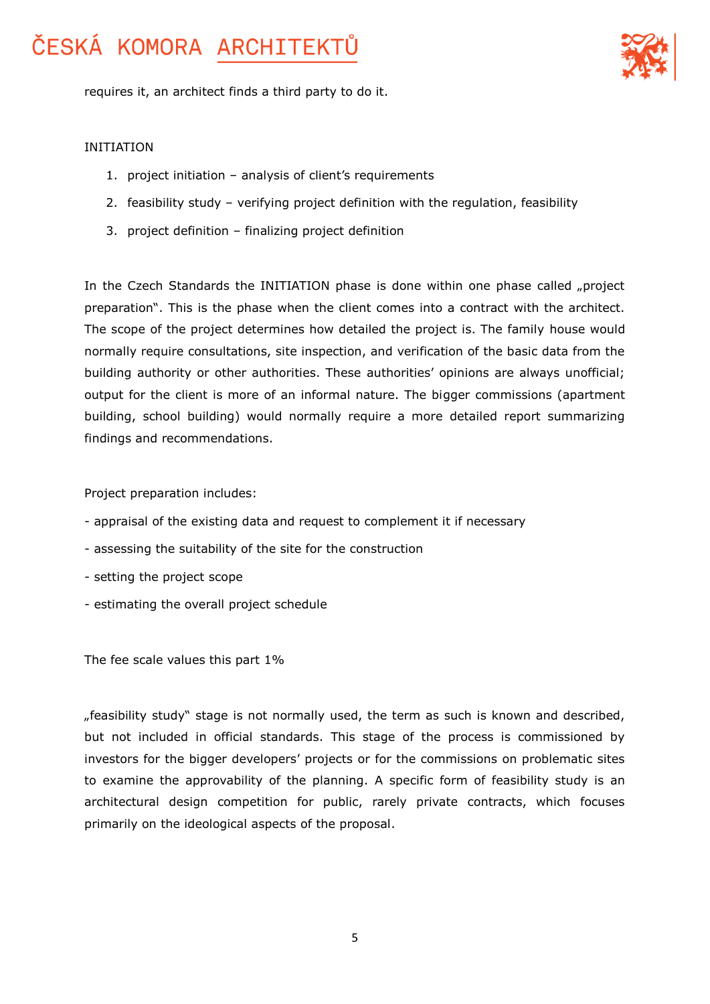

requires it, an architect finds a third party to do it.

#### INITIATION

- 1. project initiation analysis of client's requirements
- 2. feasibility study verifying project definition with the regulation, feasibility
- 3. project definition finalizing project definition

In the Czech Standards the INITIATION phase is done within one phase called "project preparation". This is the phase when the client comes into a contract with the architect. The scope of the project determines how detailed the project is. The family house would normally require consultations, site inspection, and verification of the basic data from the building authority or other authorities. These authorities' opinions are always unofficial; output for the client is more of an informal nature. The bigger commissions (apartment building, school building) would normally require a more detailed report summarizing findings and recommendations.

Project preparation includes:

- appraisal of the existing data and request to complement it if necessary
- assessing the suitability of the site for the construction
- setting the project scope
- estimating the overall project schedule

The fee scale values this part 1%

"feasibility study" stage is not normally used, the term as such is known and described, but not included in official standards. This stage of the process is commissioned by investors for the bigger developers' projects or for the commissions on problematic sites to examine the approvability of the planning. A specific form of feasibility study is an architectural design competition for public, rarely private contracts, which focuses primarily on the ideological aspects of the proposal.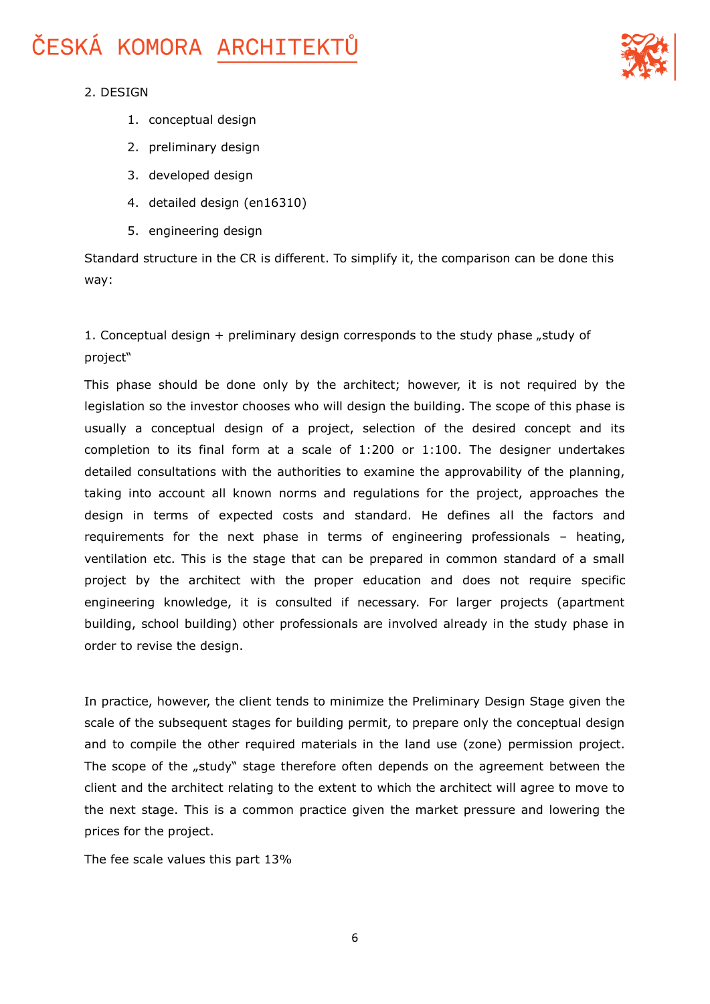

### 2. DESIGN

- 1. conceptual design
- 2. preliminary design
- 3. developed design
- 4. detailed design (en16310)
- 5. engineering design

Standard structure in the CR is different. To simplify it, the comparison can be done this way:

### 1. Conceptual design  $+$  preliminary design corresponds to the study phase "study of project"

This phase should be done only by the architect; however, it is not required by the legislation so the investor chooses who will design the building. The scope of this phase is usually a conceptual design of a project, selection of the desired concept and its completion to its final form at a scale of 1:200 or 1:100. The designer undertakes detailed consultations with the authorities to examine the approvability of the planning, taking into account all known norms and regulations for the project, approaches the design in terms of expected costs and standard. He defines all the factors and requirements for the next phase in terms of engineering professionals – heating, ventilation etc. This is the stage that can be prepared in common standard of a small project by the architect with the proper education and does not require specific engineering knowledge, it is consulted if necessary. For larger projects (apartment building, school building) other professionals are involved already in the study phase in order to revise the design.

In practice, however, the client tends to minimize the Preliminary Design Stage given the scale of the subsequent stages for building permit, to prepare only the conceptual design and to compile the other required materials in the land use (zone) permission project. The scope of the "study" stage therefore often depends on the agreement between the client and the architect relating to the extent to which the architect will agree to move to the next stage. This is a common practice given the market pressure and lowering the prices for the project.

The fee scale values this part 13%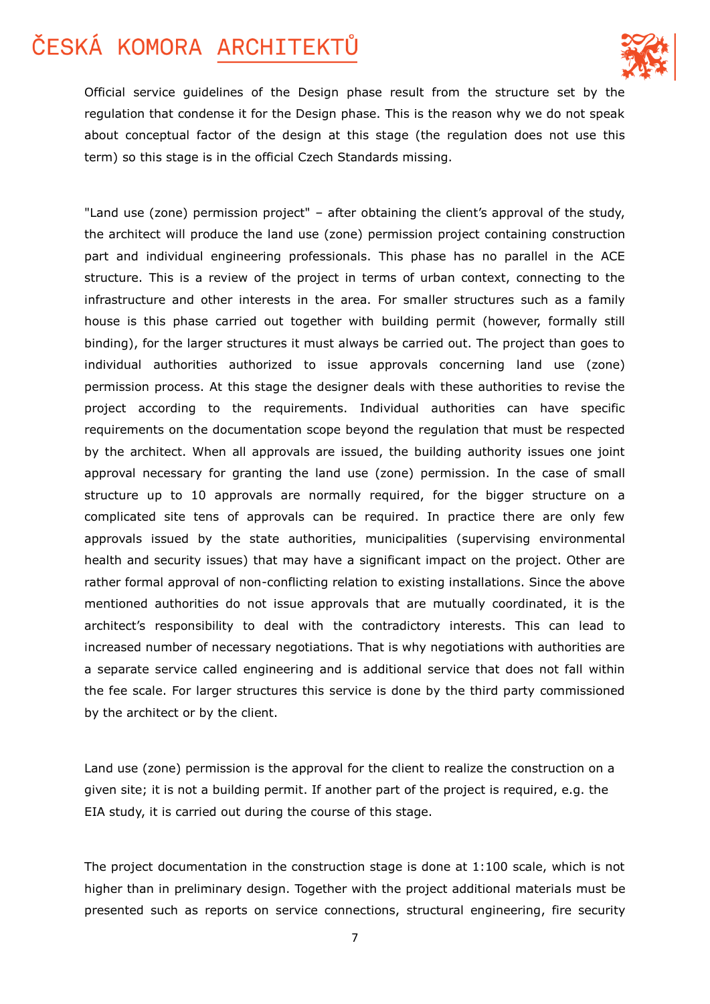

Official service guidelines of the Design phase result from the structure set by the regulation that condense it for the Design phase. This is the reason why we do not speak about conceptual factor of the design at this stage (the regulation does not use this term) so this stage is in the official Czech Standards missing.

"Land use (zone) permission project" – after obtaining the client's approval of the study, the architect will produce the land use (zone) permission project containing construction part and individual engineering professionals. This phase has no parallel in the ACE structure. This is a review of the project in terms of urban context, connecting to the infrastructure and other interests in the area. For smaller structures such as a family house is this phase carried out together with building permit (however, formally still binding), for the larger structures it must always be carried out. The project than goes to individual authorities authorized to issue approvals concerning land use (zone) permission process. At this stage the designer deals with these authorities to revise the project according to the requirements. Individual authorities can have specific requirements on the documentation scope beyond the regulation that must be respected by the architect. When all approvals are issued, the building authority issues one joint approval necessary for granting the land use (zone) permission. In the case of small structure up to 10 approvals are normally required, for the bigger structure on a complicated site tens of approvals can be required. In practice there are only few approvals issued by the state authorities, municipalities (supervising environmental health and security issues) that may have a significant impact on the project. Other are rather formal approval of non-conflicting relation to existing installations. Since the above mentioned authorities do not issue approvals that are mutually coordinated, it is the architect's responsibility to deal with the contradictory interests. This can lead to increased number of necessary negotiations. That is why negotiations with authorities are a separate service called engineering and is additional service that does not fall within the fee scale. For larger structures this service is done by the third party commissioned by the architect or by the client.

Land use (zone) permission is the approval for the client to realize the construction on a given site; it is not a building permit. If another part of the project is required, e.g. the EIA study, it is carried out during the course of this stage.

The project documentation in the construction stage is done at 1:100 scale, which is not higher than in preliminary design. Together with the project additional materials must be presented such as reports on service connections, structural engineering, fire security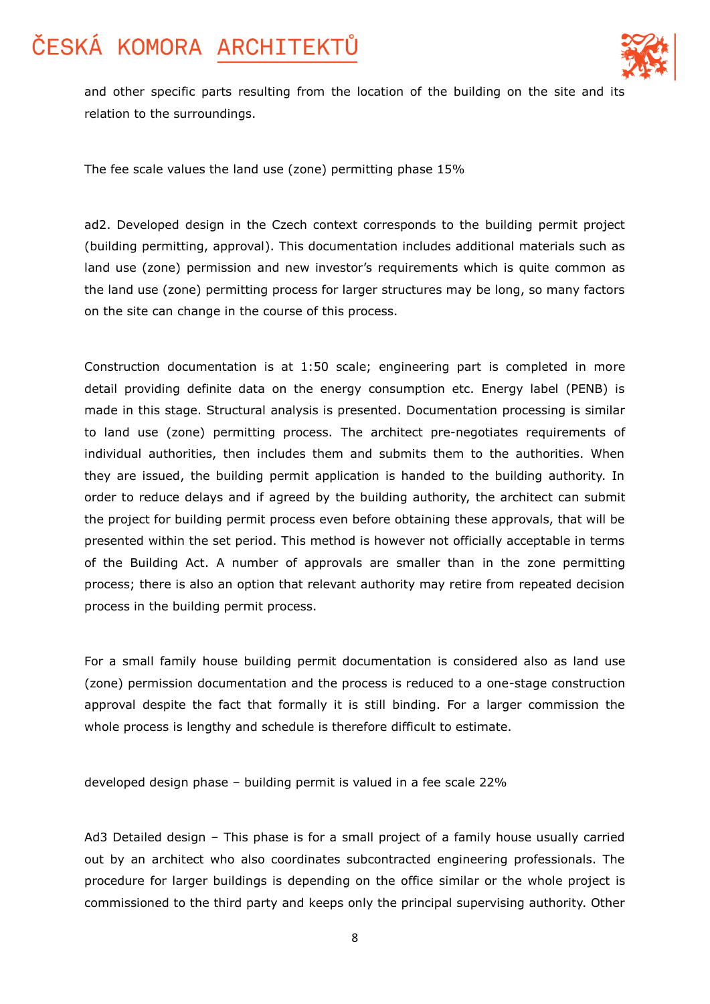

and other specific parts resulting from the location of the building on the site and its relation to the surroundings.

The fee scale values the land use (zone) permitting phase 15%

ad2. Developed design in the Czech context corresponds to the building permit project (building permitting, approval). This documentation includes additional materials such as land use (zone) permission and new investor's requirements which is quite common as the land use (zone) permitting process for larger structures may be long, so many factors on the site can change in the course of this process.

Construction documentation is at 1:50 scale; engineering part is completed in more detail providing definite data on the energy consumption etc. Energy label (PENB) is made in this stage. Structural analysis is presented. Documentation processing is similar to land use (zone) permitting process. The architect pre-negotiates requirements of individual authorities, then includes them and submits them to the authorities. When they are issued, the building permit application is handed to the building authority. In order to reduce delays and if agreed by the building authority, the architect can submit the project for building permit process even before obtaining these approvals, that will be presented within the set period. This method is however not officially acceptable in terms of the Building Act. A number of approvals are smaller than in the zone permitting process; there is also an option that relevant authority may retire from repeated decision process in the building permit process.

For a small family house building permit documentation is considered also as land use (zone) permission documentation and the process is reduced to a one-stage construction approval despite the fact that formally it is still binding. For a larger commission the whole process is lengthy and schedule is therefore difficult to estimate.

developed design phase – building permit is valued in a fee scale 22%

Ad3 Detailed design – This phase is for a small project of a family house usually carried out by an architect who also coordinates subcontracted engineering professionals. The procedure for larger buildings is depending on the office similar or the whole project is commissioned to the third party and keeps only the principal supervising authority. Other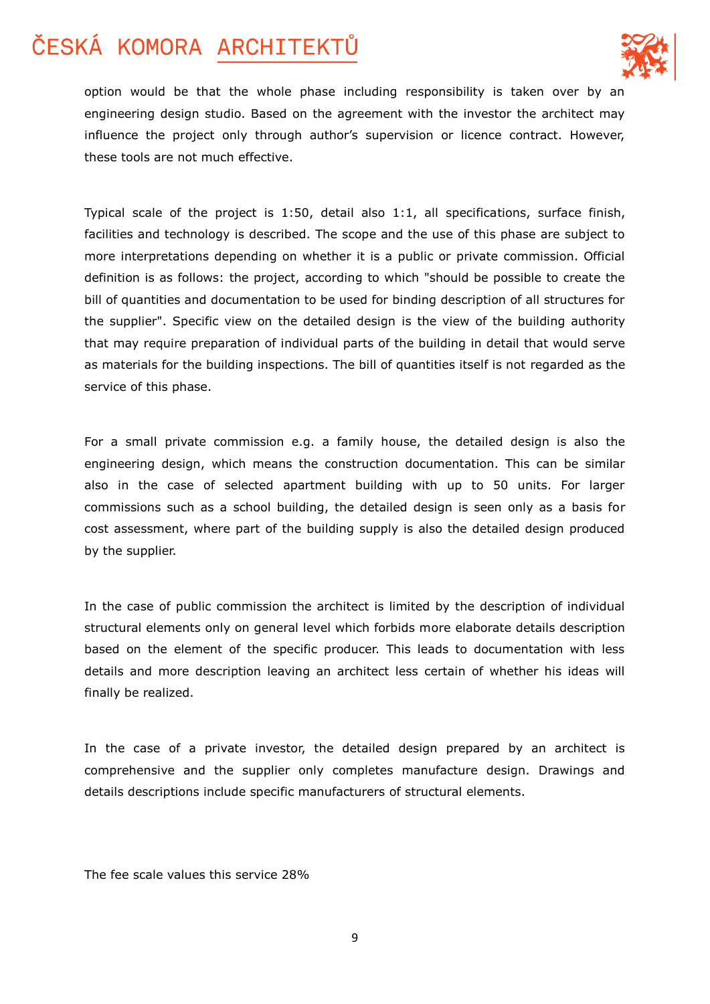

option would be that the whole phase including responsibility is taken over by an engineering design studio. Based on the agreement with the investor the architect may influence the project only through author's supervision or licence contract. However, these tools are not much effective.

Typical scale of the project is 1:50, detail also 1:1, all specifications, surface finish, facilities and technology is described. The scope and the use of this phase are subject to more interpretations depending on whether it is a public or private commission. Official definition is as follows: the project, according to which "should be possible to create the bill of quantities and documentation to be used for binding description of all structures for the supplier". Specific view on the detailed design is the view of the building authority that may require preparation of individual parts of the building in detail that would serve as materials for the building inspections. The bill of quantities itself is not regarded as the service of this phase.

For a small private commission e.g. a family house, the detailed design is also the engineering design, which means the construction documentation. This can be similar also in the case of selected apartment building with up to 50 units. For larger commissions such as a school building, the detailed design is seen only as a basis for cost assessment, where part of the building supply is also the detailed design produced by the supplier.

In the case of public commission the architect is limited by the description of individual structural elements only on general level which forbids more elaborate details description based on the element of the specific producer. This leads to documentation with less details and more description leaving an architect less certain of whether his ideas will finally be realized.

In the case of a private investor, the detailed design prepared by an architect is comprehensive and the supplier only completes manufacture design. Drawings and details descriptions include specific manufacturers of structural elements.

The fee scale values this service 28%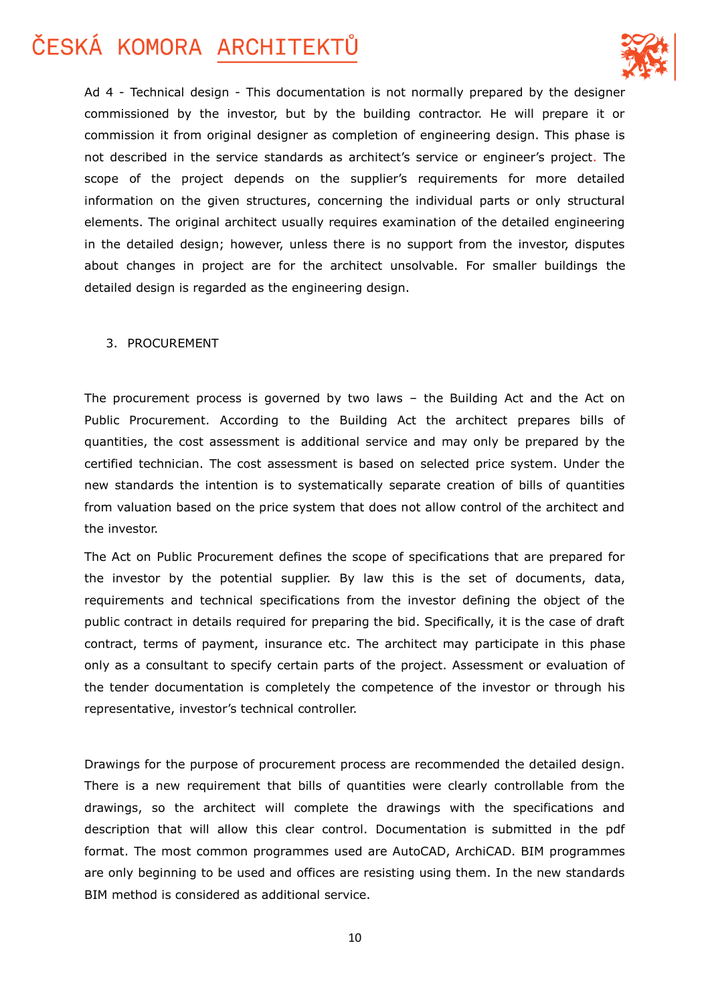

Ad 4 - Technical design - This documentation is not normally prepared by the designer commissioned by the investor, but by the building contractor. He will prepare it or commission it from original designer as completion of engineering design. This phase is not described in the service standards as architect's service or engineer's project. The scope of the project depends on the supplier's requirements for more detailed information on the given structures, concerning the individual parts or only structural elements. The original architect usually requires examination of the detailed engineering in the detailed design; however, unless there is no support from the investor, disputes about changes in project are for the architect unsolvable. For smaller buildings the detailed design is regarded as the engineering design.

#### 3. PROCUREMENT

The procurement process is governed by two laws – the Building Act and the Act on Public Procurement. According to the Building Act the architect prepares bills of quantities, the cost assessment is additional service and may only be prepared by the certified technician. The cost assessment is based on selected price system. Under the new standards the intention is to systematically separate creation of bills of quantities from valuation based on the price system that does not allow control of the architect and the investor.

The Act on Public Procurement defines the scope of specifications that are prepared for the investor by the potential supplier. By law this is the set of documents, data, requirements and technical specifications from the investor defining the object of the public contract in details required for preparing the bid. Specifically, it is the case of draft contract, terms of payment, insurance etc. The architect may participate in this phase only as a consultant to specify certain parts of the project. Assessment or evaluation of the tender documentation is completely the competence of the investor or through his representative, investor's technical controller.

Drawings for the purpose of procurement process are recommended the detailed design. There is a new requirement that bills of quantities were clearly controllable from the drawings, so the architect will complete the drawings with the specifications and description that will allow this clear control. Documentation is submitted in the pdf format. The most common programmes used are AutoCAD, ArchiCAD. BIM programmes are only beginning to be used and offices are resisting using them. In the new standards BIM method is considered as additional service.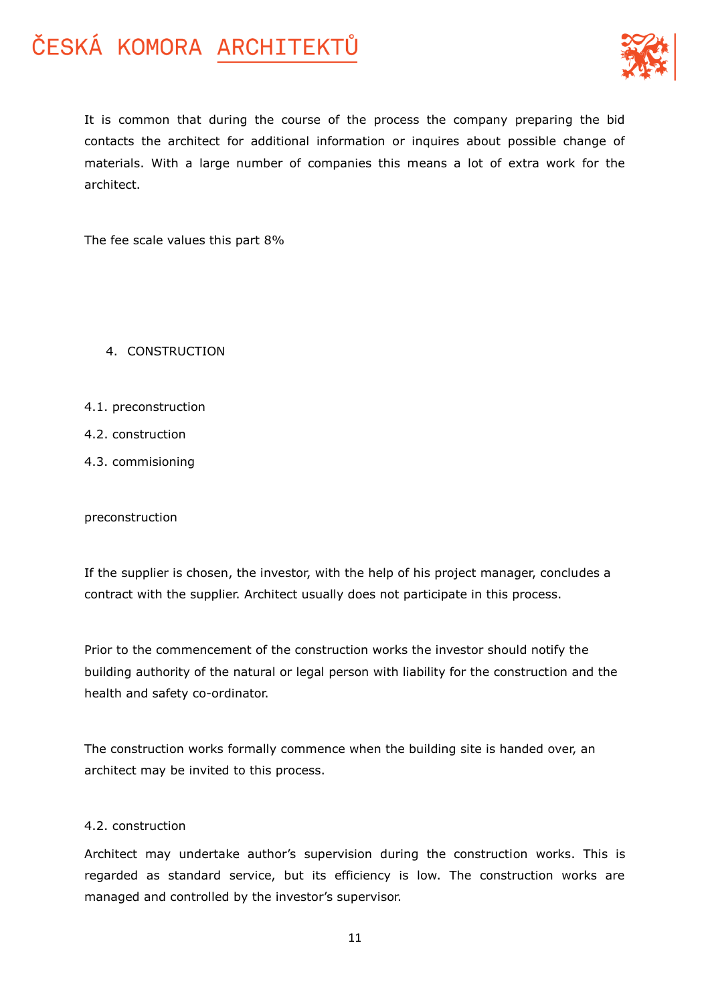

It is common that during the course of the process the company preparing the bid contacts the architect for additional information or inquires about possible change of materials. With a large number of companies this means a lot of extra work for the architect.

The fee scale values this part 8%

- 4. CONSTRUCTION
- 4.1. preconstruction
- 4.2. construction
- 4.3. commisioning

preconstruction

If the supplier is chosen, the investor, with the help of his project manager, concludes a contract with the supplier. Architect usually does not participate in this process.

Prior to the commencement of the construction works the investor should notify the building authority of the natural or legal person with liability for the construction and the health and safety co-ordinator.

The construction works formally commence when the building site is handed over, an architect may be invited to this process.

### 4.2. construction

Architect may undertake author's supervision during the construction works. This is regarded as standard service, but its efficiency is low. The construction works are managed and controlled by the investor's supervisor.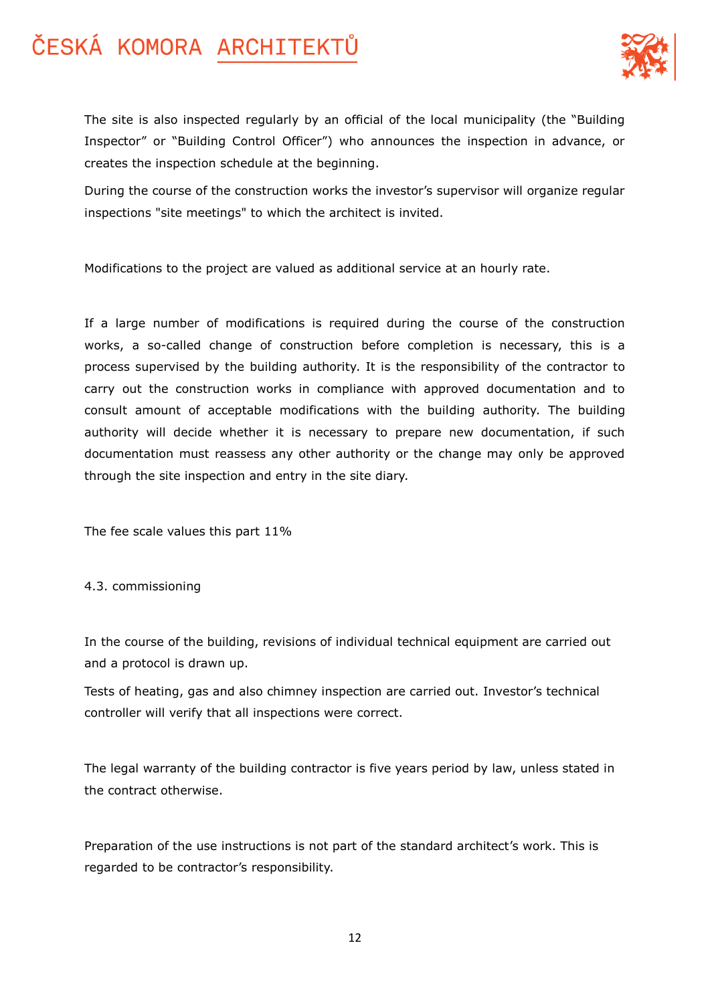

The site is also inspected regularly by an official of the local municipality (the "Building Inspector" or "Building Control Officer") who announces the inspection in advance, or creates the inspection schedule at the beginning.

During the course of the construction works the investor's supervisor will organize regular inspections "site meetings" to which the architect is invited.

Modifications to the project are valued as additional service at an hourly rate.

If a large number of modifications is required during the course of the construction works, a so-called change of construction before completion is necessary, this is a process supervised by the building authority. It is the responsibility of the contractor to carry out the construction works in compliance with approved documentation and to consult amount of acceptable modifications with the building authority. The building authority will decide whether it is necessary to prepare new documentation, if such documentation must reassess any other authority or the change may only be approved through the site inspection and entry in the site diary.

The fee scale values this part 11%

### 4.3. commissioning

In the course of the building, revisions of individual technical equipment are carried out and a protocol is drawn up.

Tests of heating, gas and also chimney inspection are carried out. Investor's technical controller will verify that all inspections were correct.

The legal warranty of the building contractor is five years period by law, unless stated in the contract otherwise.

Preparation of the use instructions is not part of the standard architect's work. This is regarded to be contractor's responsibility.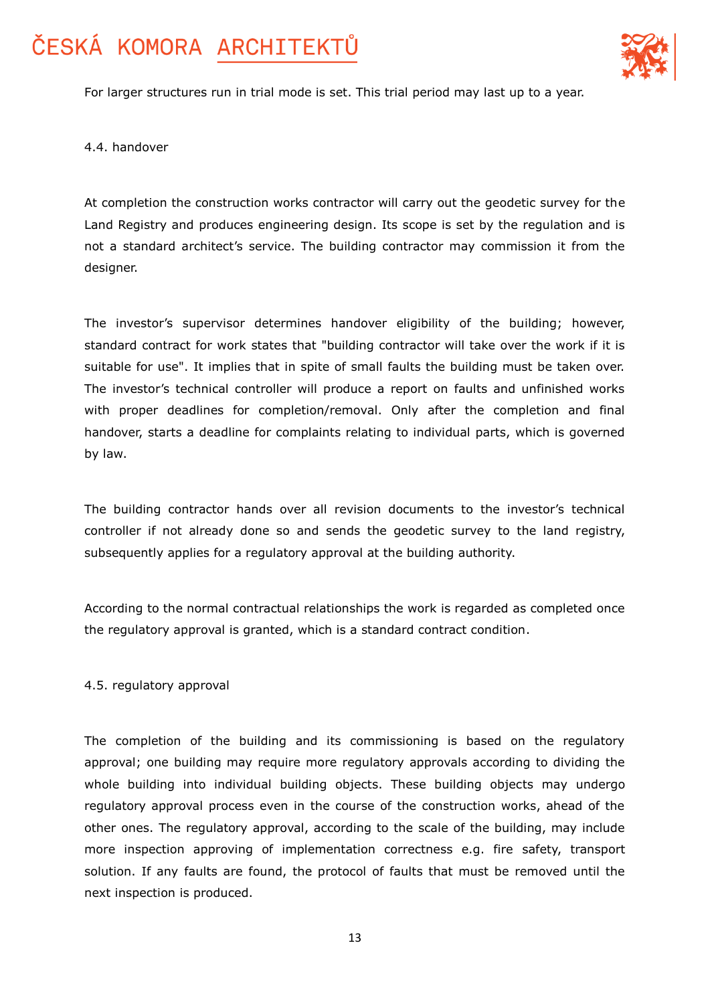

For larger structures run in trial mode is set. This trial period may last up to a year.

4.4. handover

At completion the construction works contractor will carry out the geodetic survey for the Land Registry and produces engineering design. Its scope is set by the regulation and is not a standard architect's service. The building contractor may commission it from the designer.

The investor's supervisor determines handover eligibility of the building; however, standard contract for work states that "building contractor will take over the work if it is suitable for use". It implies that in spite of small faults the building must be taken over. The investor's technical controller will produce a report on faults and unfinished works with proper deadlines for completion/removal. Only after the completion and final handover, starts a deadline for complaints relating to individual parts, which is governed by law.

The building contractor hands over all revision documents to the investor's technical controller if not already done so and sends the geodetic survey to the land registry, subsequently applies for a regulatory approval at the building authority.

According to the normal contractual relationships the work is regarded as completed once the regulatory approval is granted, which is a standard contract condition.

#### 4.5. regulatory approval

The completion of the building and its commissioning is based on the regulatory approval; one building may require more regulatory approvals according to dividing the whole building into individual building objects. These building objects may undergo regulatory approval process even in the course of the construction works, ahead of the other ones. The regulatory approval, according to the scale of the building, may include more inspection approving of implementation correctness e.g. fire safety, transport solution. If any faults are found, the protocol of faults that must be removed until the next inspection is produced.